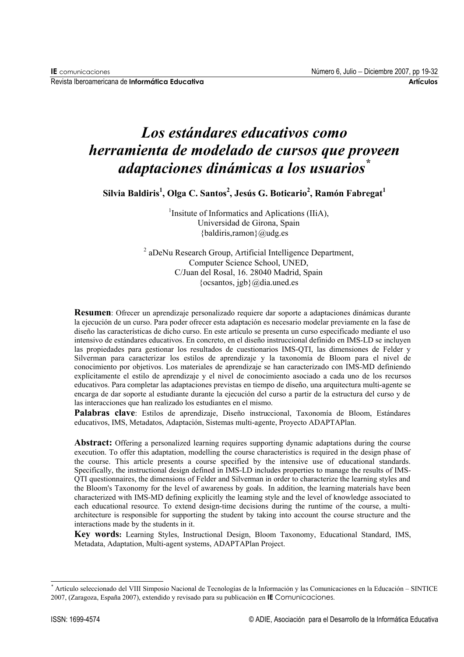Revista Iberoamericana de Informático Educotivo

# Los estándares educativos como herramienta de modelado de cursos que proveen adaptaciones dinámicas a los usuarios

Silvia Baldiris<sup>1</sup>, Olga C. Santos<sup>2</sup>, Jesús G. Boticario<sup>2</sup>, Ramón Fabregat<sup>1</sup>

<sup>1</sup>Insitute of Informatics and Aplications (IIiA), Universidad de Girona, Spain {baldiris, ramon} @ udg.es

<sup>2</sup> aDeNu Research Group, Artificial Intelligence Department, Computer Science School, UNED, C/Juan del Rosal, 16. 28040 Madrid, Spain {ocsantos,  $igb$ } @dia.uned.es

**Resumen**: Ofrecer un aprendizaje personalizado requiere dar soporte a adaptaciones dinámicas durante la ejecución de un curso. Para poder ofrecer esta adaptación es necesario modelar previamente en la fase de diseño las características de dicho curso. En este artículo se presenta un curso especificado mediante el uso intensivo de estándares educativos. En concreto, en el diseño instruccional definido en IMS-LD se incluven las propiedades para gestionar los resultados de cuestionarios IMS-QTI, las dimensiones de Felder y Silverman para caracterizar los estilos de aprendizaje y la taxonomía de Bloom para el nivel de conocimiento por objetivos. Los materiales de aprendizaje se han caracterizado con IMS-MD definiendo explícitamente el estilo de aprendizaje y el nivel de conocimiento asociado a cada uno de los recursos educativos. Para completar las adaptaciones previstas en tiempo de diseño, una arquitectura multi-agente se encarga de dar soporte al estudiante durante la ejecución del curso a partir de la estructura del curso y de las interacciones que han realizado los estudiantes en el mismo.

Palabras clave: Estilos de aprendizaje, Diseño instruccional, Taxonomía de Bloom, Estándares educativos, IMS, Metadatos, Adaptación, Sistemas multi-agente, Provecto ADAPTAPlan.

**Abstract:** Offering a personalized learning requires supporting dynamic adaptations during the course execution. To offer this adaptation, modelling the course characteristics is required in the design phase of the course. This article presents a course specified by the intensive use of educational standards. Specifically, the instructional design defined in IMS-LD includes properties to manage the results of IMS-OTI questionnaires, the dimensions of Felder and Silverman in order to characterize the learning styles and the Bloom's Taxonomy for the level of awareness by goals. In addition, the learning materials have been characterized with IMS-MD defining explicitly the learning style and the level of knowledge associated to each educational resource. To extend design-time decisions during the runtime of the course, a multiarchitecture is responsible for supporting the student by taking into account the course structure and the interactions made by the students in it.

Key words: Learning Styles, Instructional Design, Bloom Taxonomy, Educational Standard, IMS, Metadata, Adaptation, Multi-agent systems, ADAPTAPlan Project.

<sup>\*</sup> Artículo seleccionado del VIII Simposio Nacional de Tecnologías de la Información y las Comunicaciones en la Educación - SINTICE 2007, (Zaragoza, España 2007), extendido y revisado para su publicación en IE Comunicaciones.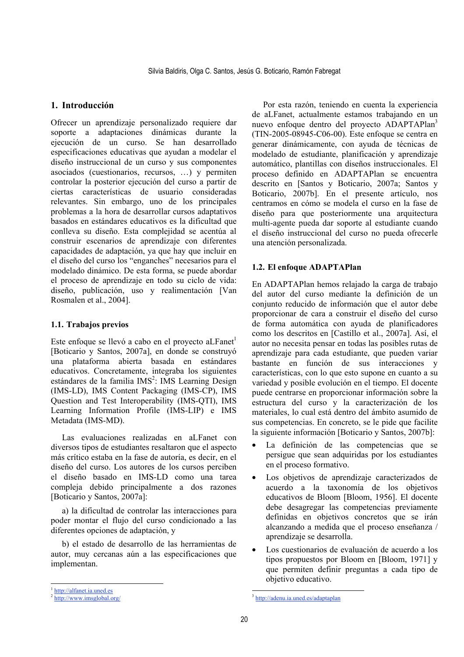## 1. Introducción

Ofrecer un aprendizaje personalizado requiere dar soporte a adaptaciones dinámicas durante la ejecución de un curso. Se han desarrollado especificaciones educativas que ayudan a modelar el diseño instruccional de un curso y sus componentes asociados (cuestionarios, recursos, ...) y permiten controlar la posterior ejecución del curso a partir de ciertas características de usuario consideradas relevantes. Sin embargo, uno de los principales problemas a la hora de desarrollar cursos adaptativos basados en estándares educativos es la dificultad que conlleva su diseño. Esta complejidad se acentúa al construir escenarios de aprendizaje con diferentes capacidades de adaptación, ya que hay que incluir en el diseño del curso los "enganches" necesarios para el modelado dinámico. De esta forma, se puede abordar el proceso de aprendizaje en todo su ciclo de vida: diseño, publicación, uso y realimentación [Van Rosmalen et al., 2004].

## 1.1. Trabajos previos

Este enfoque se llevó a cabo en el proyecto aLFanet<sup>1</sup> [Boticario y Santos, 2007a], en donde se construyó una plataforma abierta basada en estándares educativos. Concretamente, integraba los siguientes estándares de la familia IMS<sup>2</sup>: IMS Learning Design (IMS-LD), IMS Content Packaging (IMS-CP), IMS Ouestion and Test Interoperability (IMS-OTI), IMS Learning Information Profile (IMS-LIP) e IMS Metadata (IMS-MD).

Las evaluaciones realizadas en aLFanet con diversos tipos de estudiantes resaltaron que el aspecto más crítico estaba en la fase de autoría, es decir, en el diseño del curso. Los autores de los cursos perciben el diseño basado en IMS-LD como una tarea compleja debido principalmente a dos razones [Boticario y Santos, 2007a]:

a) la dificultad de controlar las interacciones para poder montar el flujo del curso condicionado a las diferentes opciones de adaptación, y

b) el estado de desarrollo de las herramientas de autor, muy cercanas aún a las especificaciones que implementan.

## 1.2. El enfoque ADAPTAPlan

En ADAPTAPlan hemos relajado la carga de trabajo del autor del curso mediante la definición de un conjunto reducido de información que el autor debe proporcionar de cara a construir el diseño del curso de forma automática con avuda de planificadores como los descritos en [Castillo et al., 2007a]. Así, el autor no necesita pensar en todas las posibles rutas de aprendizaje para cada estudiante, que pueden variar bastante en función de sus interacciones y características, con lo que esto supone en cuanto a su variedad y posible evolución en el tiempo. El docente puede centrarse en proporcionar información sobre la estructura del curso y la caracterización de los materiales, lo cual está dentro del ámbito asumido de sus competencias. En concreto, se le pide que facilite la siguiente información [Boticario y Santos, 2007b]:

- La definición de las competencias que se  $\bullet$ persigue que sean adquiridas por los estudiantes en el proceso formativo.
- Los objetivos de aprendizaje caracterizados de  $\bullet$ acuerdo a la taxonomía de los objetivos educativos de Bloom [Bloom, 1956]. El docente debe desagregar las competencias previamente definidas en objetivos concretos que se irán alcanzando a medida que el proceso enseñanza / aprendizaje se desarrolla.
- Los cuestionarios de evaluación de acuerdo a los tipos propuestos por Bloom en [Bloom, 1971] y que permiten definir preguntas a cada tipo de objetivo educativo.

Por esta razón, teniendo en cuenta la experiencia de aLFanet, actualmente estamos trabajando en un nuevo enfoque dentro del provecto ADAPTAPlan<sup>3</sup>  $(TIN-2005-08945-C06-00)$ . Este enfoque se centra en generar dinámicamente, con ayuda de técnicas de modelado de estudiante, planificación y aprendizaje automático, plantillas con diseños instruccionales. El proceso definido en ADAPTAPlan se encuentra descrito en [Santos y Boticario, 2007a; Santos y Boticario, 2007b]. En el presente artículo, nos centramos en cómo se modela el curso en la fase de diseño para que posteriormente una arquitectura multi-agente pueda dar soporte al estudiante cuando el diseño instruccional del curso no pueda ofrecerle una atención personalizada.

http://alfanet.ia.uned.es

http://www.imsglobal.org/

<sup>&</sup>lt;sup>3</sup> http://adenu.ia.uned.es/adaptaplan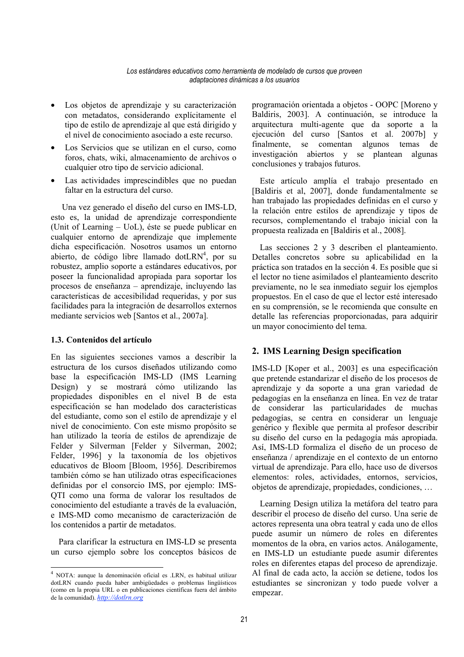- Los objetos de aprendizaje y su caracterización con metadatos, considerando explícitamente el tipo de estilo de aprendizaje al que está dirigido y el nivel de conocimiento asociado a este recurso
- Los Servicios que se utilizan en el curso, como foros, chats, wiki, almacenamiento de archivos o cualquier otro tipo de servicio adicional.
- Las actividades imprescindibles que no puedan faltar en la estructura del curso.

Una vez generado el diseño del curso en IMS-LD. esto es, la unidad de aprendizaje correspondiente (Unit of Learning – UoL), éste se puede publicar en cualquier entorno de aprendizaje que implemente dicha especificación. Nosotros usamos un entorno abierto, de código libre llamado dot $LRN<sup>4</sup>$ , por su robustez, amplio soporte a estándares educativos, por poseer la funcionalidad apropiada para soportar los procesos de enseñanza – aprendizaje, incluyendo las características de accesibilidad requeridas, y por sus facilidades para la integración de desarrollos externos mediante servicios web [Santos et al., 2007a].

## 1.3. Contenidos del artículo

En las siguientes secciones vamos a describir la estructura de los cursos diseñados utilizando como base la especificación IMS-LD (IMS Learning Design) y se mostrará cómo utilizando las propiedades disponibles en el nivel B de esta especificación se han modelado dos características del estudiante, como son el estilo de aprendizaje y el nivel de conocimiento. Con este mismo propósito se han utilizado la teoría de estilos de aprendizaje de Felder y Silverman [Felder y Silverman, 2002; Felder, 1996] y la taxonomía de los objetivos educativos de Bloom [Bloom, 1956]. Describiremos también cómo se han utilizado otras especificaciones definidas por el consorcio IMS, por ejemplo: IMS-OTI como una forma de valorar los resultados de conocimiento del estudiante a través de la evaluación, e IMS-MD como mecanismo de caracterización de los contenidos a partir de metadatos.

Para clarificar la estructura en IMS-LD se presenta un curso ejemplo sobre los conceptos básicos de

programación orientada a objetos - OOPC [Moreno y Baldiris, 2003]. A continuación, se introduce la arquitectura multi-agente que da soporte a la ejecución del curso [Santos et al. 2007b] v finalmente. se comentan algunos temas de investigación abiertos y se plantean algunas conclusiones y trabajos futuros.

Este artículo amplía el trabajo presentado en [Baldiris et al, 2007], donde fundamentalmente se han trabajado las propiedades definidas en el curso y la relación entre estilos de aprendizaje y tipos de recursos, complementando el trabajo inicial con la propuesta realizada en [Baldiris et al., 2008].

Las secciones 2 y 3 describen el planteamiento. Detalles concretos sobre su aplicabilidad en la práctica son tratados en la sección 4. Es posible que si el lector no tiene asimilados el planteamiento descrito previamente, no le sea inmediato seguir los ejemplos propuestos. En el caso de que el lector esté interesado en su comprensión, se le recomienda que consulte en detalle las referencias proporcionadas, para adquirir un mayor conocimiento del tema.

# 2. IMS Learning Design specification

IMS-LD [Koper et al., 2003] es una especificación que pretende estandarizar el diseño de los procesos de aprendizaje y da soporte a una gran variedad de pedagogías en la enseñanza en línea. En vez de tratar de considerar las particularidades de muchas pedagogías, se centra en considerar un lenguaje genérico y flexible que permita al profesor describir su diseño del curso en la pedagogía más apropiada. Así, IMS-LD formaliza el diseño de un proceso de enseñanza / aprendizaje en el contexto de un entorno virtual de aprendizaje. Para ello, hace uso de diversos elementos: roles, actividades, entornos, servicios, objetos de aprendizaje, propiedades, condiciones, ...

Learning Design utiliza la metáfora del teatro para describir el proceso de diseño del curso. Una serie de actores representa una obra teatral y cada uno de ellos puede asumir un número de roles en diferentes momentos de la obra, en varios actos. Análogamente, en IMS-LD un estudiante puede asumir diferentes roles en diferentes etapas del proceso de aprendizaje. Al final de cada acto, la acción se detiene, todos los estudiantes se sincronizan y todo puede volver a empezar.

<sup>&</sup>lt;sup>4</sup> NOTA: aunque la denominación oficial es .LRN, es habitual utilizar dotLRN cuando pueda haber ambigüedades o problemas lingüísticos (como en la propia URL o en publicaciones científicas fuera del ámbito de la comunidad). http://dotlrn.org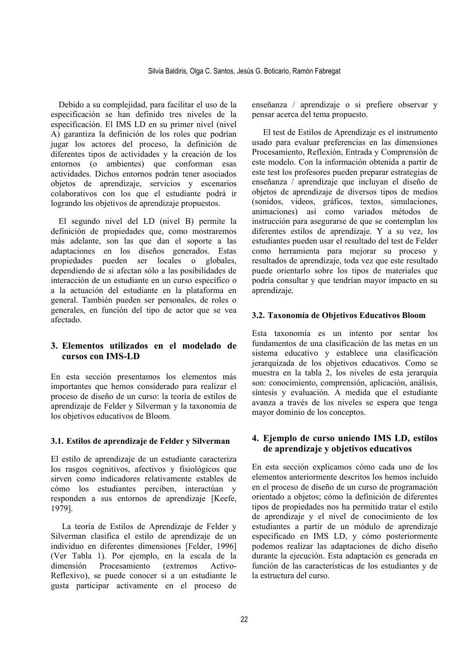Debido a su complejidad, para facilitar el uso de la especificación se han definido tres niveles de la especificación. El IMS LD en su primer nivel (nivel A) garantiza la definición de los roles que podrían jugar los actores del proceso, la definición de diferentes tipos de actividades y la creación de los entornos (o ambientes) que conforman esas actividades. Dichos entornos podrán tener asociados objetos de aprendizaje, servicios y escenarios colaborativos con los que el estudiante podrá ir logrando los objetivos de aprendizaje propuestos.

El segundo nivel del LD (nivel B) permite la definición de propiedades que, como mostraremos más adelante, son las que dan el soporte a las adaptaciones en los diseños generados. Estas propiedades pueden ser locales o globales, dependiendo de si afectan sólo a las posibilidades de interacción de un estudiante en un curso específico o a la actuación del estudiante en la plataforma en general. También pueden ser personales, de roles o generales, en función del tipo de actor que se vea afectado.

# 3. Elementos utilizados en el modelado de cursos con IMS-LD

En esta sección presentamos los elementos más importantes que hemos considerado para realizar el proceso de diseño de un curso: la teoría de estilos de aprendizaje de Felder y Silverman y la taxonomía de los objetivos educativos de Bloom.

# 3.1. Estilos de aprendizaje de Felder y Silverman

El estilo de aprendizaje de un estudiante caracteriza los rasgos cognitivos, afectivos y fisiológicos que sirven como indicadores relativamente estables de cómo los estudiantes perciben, interactúan y responden a sus entornos de aprendizaje [Keefe, 1979].

La teoría de Estilos de Aprendizaje de Felder y Silverman clasifica el estilo de aprendizaje de un individuo en diferentes dimensiones [Felder, 1996] (Ver Tabla 1). Por ejemplo, en la escala de la *(extremos)* dimensión Procesamiento Activo-Reflexivo), se puede conocer si a un estudiante le gusta participar activamente en el proceso de enseñanza / aprendizaje o si prefiere observar y pensar acerca del tema propuesto.

El test de Estilos de Aprendizaje es el instrumento usado para evaluar preferencias en las dimensiones Procesamiento, Reflexión, Entrada y Comprensión de este modelo. Con la información obtenida a partir de este test los profesores pueden preparar estrategias de enseñanza / aprendizaje que incluyan el diseño de objetos de aprendizaje de diversos tipos de medios (sonidos, videos, gráficos, textos, simulaciones, animaciones) así como variados métodos de instrucción para asegurarse de que se contemplan los diferentes estilos de aprendizaje. Y a su vez, los estudiantes pueden usar el resultado del test de Felder como herramienta para mejorar su proceso y resultados de aprendizaje, toda vez que este resultado puede orientarlo sobre los tipos de materiales que podría consultar y que tendrían mayor impacto en su aprendizaje.

## 3.2. Taxonomía de Objetivos Educativos Bloom

Esta taxonomía es un intento por sentar los fundamentos de una clasificación de las metas en un sistema educativo y establece una clasificación jerarquizada de los objetivos educativos. Como se muestra en la tabla 2, los niveles de esta jerarquía son: conocimiento, comprensión, aplicación, análisis, síntesis y evaluación. A medida que el estudiante avanza a través de los niveles se espera que tenga mayor dominio de los conceptos.

# 4. Ejemplo de curso uniendo IMS LD, estilos de aprendizaie y obietivos educativos

En esta sección explicamos cómo cada uno de los elementos anteriormente descritos los hemos incluido en el proceso de diseño de un curso de programación orientado a objetos; cómo la definición de diferentes tipos de propiedades nos ha permitido tratar el estilo de aprendizaje y el nivel de conocimiento de los estudiantes a partir de un módulo de aprendizaje especificado en IMS LD, y cómo posteriormente podemos realizar las adaptaciones de dicho diseño durante la ejecución. Esta adaptación es generada en función de las características de los estudiantes y de la estructura del curso.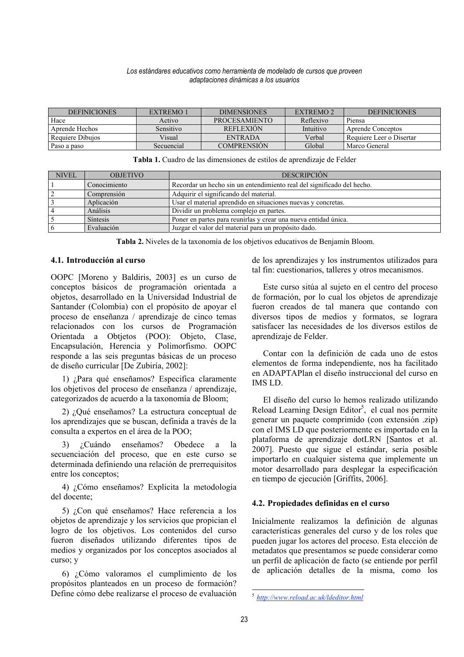| <b>DEFINICIONES</b> | EXTREMO <sub>1</sub> | <b>DIMENSIONES</b>   | EXTREMO <sub>2</sub> | <b>DEFINICIONES</b>      |
|---------------------|----------------------|----------------------|----------------------|--------------------------|
| Hace                | Activo               | <b>PROCESAMIENTO</b> | Reflexivo            | Piensa                   |
| Aprende Hechos      | Sensitivo            | <b>REFLEXION</b>     | Intuitivo            | Aprende Conceptos        |
| Requiere Dibuios    | Visual               | ENTRADA              | Verbal               | Requiere Leer o Disertar |
| Paso a paso         | Secuencial           | <b>COMPRENSION</b>   | Global               | Marco General            |

Tabla 1. Cuadro de las dimensiones de estilos de aprendizaje de Felder

| <b>NIVEL</b>   | <b>OBJETIVO</b> | <b>DESCRIPCIÓN</b>                                                     |  |  |  |
|----------------|-----------------|------------------------------------------------------------------------|--|--|--|
|                | Conocimiento    | Recordar un hecho sin un entendimiento real del significado del hecho. |  |  |  |
| $\overline{2}$ | Comprensión     | Adquirir el significando del material.                                 |  |  |  |
|                | Aplicación      | Usar el material aprendido en situaciones nuevas y concretas.          |  |  |  |
| $\overline{4}$ | Análisis        | Dividir un problema complejo en partes.                                |  |  |  |
|                | <b>Síntesis</b> | Poner en partes para reunirlas y crear una nueva entidad única.        |  |  |  |
| l 6            | Evaluación      | Juzgar el valor del material para un propósito dado.                   |  |  |  |

Tabla 2. Niveles de la taxonomía de los objetivos educativos de Benjamín Bloom.

#### 4.1. Introducción al curso

OOPC [Moreno y Baldiris, 2003] es un curso de conceptos básicos de programación orientada a objetos, desarrollado en la Universidad Industrial de Santander (Colombia) con el propósito de apoyar el proceso de enseñanza / aprendizaje de cinco temas relacionados con los cursos de Programación Orientada a Obtjetos (POO): Objeto, Clase, Encapsulación, Herencia y Polimorfismo. OOPC responde a las seis preguntas básicas de un proceso de diseño curricular [De Zubiría, 2002]:

1) ¿Para qué enseñamos? Especifica claramente los objetivos del proceso de enseñanza / aprendizaje, categorizados de acuerdo a la taxonomía de Bloom:

2) ¿Qué enseñamos? La estructura conceptual de los aprendizajes que se buscan, definida a través de la consulta a expertos en el área de la POO;

 $3)$ *i* Cuándo enseñamos? Obedece a  $1a$ secuenciación del proceso, que en este curso se determinada definiendo una relación de prerrequisitos entre los conceptos:

4) ¿Cómo enseñamos? Explicita la metodología del docente;

5) ¿Con qué enseñamos? Hace referencia a los objetos de aprendizaje y los servicios que propician el logro de los objetivos. Los contenidos del curso fueron diseñados utilizando diferentes tipos de medios y organizados por los conceptos asociados al curso; y

6) ¿Cómo valoramos el cumplimiento de los propósitos planteados en un proceso de formación? Define cómo debe realizarse el proceso de evaluación

de los aprendizajes y los instrumentos utilizados para tal fin: cuestionarios, talleres y otros mecanismos.

Este curso sitúa al sujeto en el centro del proceso de formación, por lo cual los objetos de aprendizaje fueron creados de tal manera que contando con diversos tipos de medios y formatos, se lograra satisfacer las necesidades de los diversos estilos de aprendizaje de Felder.

Contar con la definición de cada uno de estos elementos de forma independiente, nos ha facilitado en ADAPTAPlan el diseño instruccional del curso en **IMS LD** 

El diseño del curso lo hemos realizado utilizando Reload Learning Design Editor<sup>5</sup>, el cual nos permite generar un paquete comprimido (con extensión .zip) con el IMS LD que posteriormente es importado en la plataforma de aprendizaje dotLRN [Santos et al. 2007]. Puesto que sigue el estándar, sería posible importarlo en cualquier sistema que implemente un motor desarrollado para desplegar la especificación en tiempo de ejecución [Griffits, 2006].

## 4.2. Propiedades definidas en el curso

Inicialmente realizamos la definición de algunas características generales del curso y de los roles que pueden jugar los actores del proceso. Esta elección de metadatos que presentamos se puede considerar como un perfil de aplicación de facto (se entiende por perfil de aplicación detalles de la misma, como los

 $5$  http://www.reload.ac.uk/ldeditor.html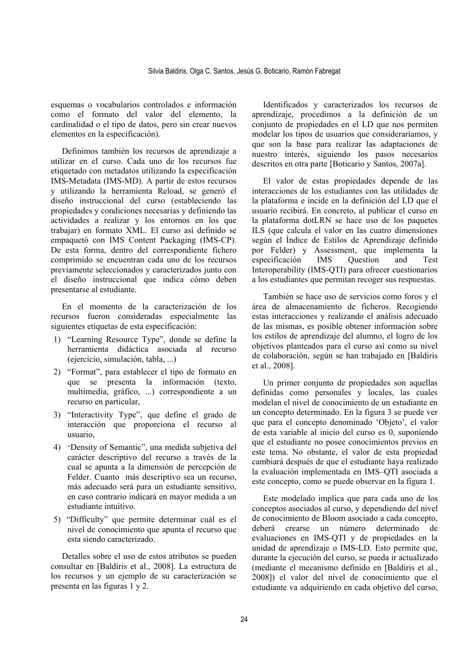esquemas o vocabularios controlados e información como el formato del valor del elemento, la cardinalidad o el tipo de datos, pero sin crear nuevos elementos en la especificación).

Definimos también los recursos de aprendizaje a utilizar en el curso. Cada uno de los recursos fue etiquetado con metadatos utilizando la especificación IMS-Metadata (IMS-MD). A partir de estos recursos y utilizando la herramienta Reload, se generó el diseño instruccional del curso (estableciendo las propiedades y condiciones necesarias y definiendo las actividades a realizar y los entornos en los que trabajar) en formato XML. El curso así definido se empaquetó con IMS Content Packaging (IMS-CP). De esta forma, dentro del correspondiente fichero comprimido se encuentran cada uno de los recursos previamente seleccionados y caracterizados junto con el diseño instruccional que indica cómo deben presentarse al estudiante.

En el momento de la caracterización de los recursos fueron consideradas especialmente las siguientes etiquetas de esta especificación:

- 1) "Learning Resource Type", donde se define la herramienta didáctica asociada al recurso (ejercicio, simulación, tabla, ...)
- 2) "Format", para establecer el tipo de formato en que se presenta la información (texto.) multimedia, gráfico, ...) correspondiente a un recurso en particular,
- 3) "Interactivity Type", que define el grado de interacción que proporciona el recurso al usuario.
- 4) "Density of Semantic", una medida subjetiva del carácter descriptivo del recurso a través de la cual se apunta a la dimensión de percepción de Felder. Cuanto más descriptivo sea un recurso, más adecuado será para un estudiante sensitivo, en caso contrario indicará en mayor medida a un estudiante intuitivo.
- 5) "Difficulty" que permite determinar cuál es el nivel de conocimiento que apunta el recurso que esta siendo caracterizado.

Detalles sobre el uso de estos atributos se pueden consultar en [Baldiris et al., 2008]. La estructura de los recursos y un ejemplo de su caracterización se presenta en las figuras 1 v 2.

Identificados y caracterizados los recursos de aprendizaje, procedimos a la definición de un conjunto de propiedades en el LD que nos permiten modelar los tipos de usuarios que consideraríamos, y que son la base para realizar las adaptaciones de nuestro interés, siguiendo los pasos necesarios descritos en otra parte [Boticario y Santos, 2007a].

El valor de estas propiedades depende de las interacciones de los estudiantes con las utilidades de la plataforma e incide en la definición del LD que el usuario recibirá. En concreto, al publicar el curso en la plataforma dotLRN se hace uso de los paquetes ILS (que calcula el valor en las cuatro dimensiones según el Índice de Estilos de Aprendizaje definido por Felder) y Assessment, que implementa la especificación Ouestion **IMS** and **Test** Interoperability (IMS-OTI) para ofrecer cuestionarios a los estudiantes que permitan recoger sus respuestas.

También se hace uso de servicios como foros y el área de almacenamiento de ficheros. Recogiendo estas interacciones y realizando el análisis adecuado de las mismas, es posible obtener información sobre los estilos de aprendizaje del alumno, el logro de los objetivos planteados para el curso así como su nivel de colaboración, según se han trabajado en [Baldiris] et al., 2008].

Un primer conjunto de propiedades son aquellas definidas como personales y locales, las cuales modelan el nivel de conocimiento de un estudiante en un concepto determinado. En la figura 3 se puede ver que para el concepto denominado 'Objeto', el valor de esta variable al inicio del curso es 0, suponiendo que el estudiante no posee conocimientos previos en este tema. No obstante, el valor de esta propiedad cambiará después de que el estudiante haya realizado la evaluación implementada en IMS-QTI asociada a este concepto, como se puede observar en la figura 1.

Este modelado implica que para cada uno de los conceptos asociados al curso, y dependiendo del nivel de conocimiento de Bloom asociado a cada concepto. número determinado deberá crearse  $\mathbf{u}$ de evaluaciones en IMS-QTI y de propiedades en la unidad de aprendizaje o IMS-LD. Esto permite que, durante la ejecución del curso, se pueda ir actualizado (mediante el mecanismo definido en [Baldiris et al., 2008]) el valor del nivel de conocimiento que el estudiante va adquiriendo en cada objetivo del curso.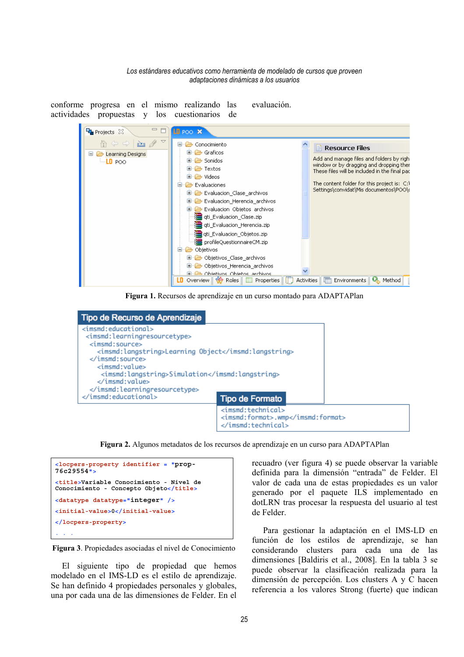conforme progresa en el mismo realizando las evaluación. actividades propuestas y los cuestionarios de



Figura 1. Recursos de aprendizaje en un curso montado para ADAPTAPlan

| Tipo de Recurso de Aprendizaje                                                                                                                                                                                                                                                                                  |                                                                                |  |
|-----------------------------------------------------------------------------------------------------------------------------------------------------------------------------------------------------------------------------------------------------------------------------------------------------------------|--------------------------------------------------------------------------------|--|
| $\leq$ imsmd: educational><br><imsmd:learningresourcetype><br/><math>&lt;</math>imsmd:source<math>&gt;</math><br/><imsmd:langstring>Learning Object</imsmd:langstring><br/><br/><math>\le</math>imsmd: value&gt;<br/><imsmd:langstring>Simulation</imsmd:langstring><br/><br/></imsmd:learningresourcetype><br> |                                                                                |  |
|                                                                                                                                                                                                                                                                                                                 | <b>Tipo de Formato</b>                                                         |  |
|                                                                                                                                                                                                                                                                                                                 | <imsmd:technical><br/><imsmd:format>.wmp</imsmd:format><br/></imsmd:technical> |  |

Figura 2. Algunos metadatos de los recursos de aprendizaje en un curso para ADAPTAPlan



Figura 3. Propiedades asociadas el nivel de Conocimiento

El siguiente tipo de propiedad que hemos modelado en el IMS-LD es el estilo de aprendizaje. Se han definido 4 propiedades personales y globales, una por cada una de las dimensiones de Felder. En el recuadro (ver figura 4) se puede observar la variable definida para la dimensión "entrada" de Felder. El valor de cada una de estas propiedades es un valor generado por el paquete ILS implementado en dotLRN tras procesar la respuesta del usuario al test de Felder.

Para gestionar la adaptación en el IMS-LD en función de los estilos de aprendizaje, se han considerando clusters para cada una de las dimensiones [Baldiris et al., 2008]. En la tabla 3 se puede observar la clasificación realizada para la dimensión de percepción. Los clusters A y C hacen referencia a los valores Strong (fuerte) que indican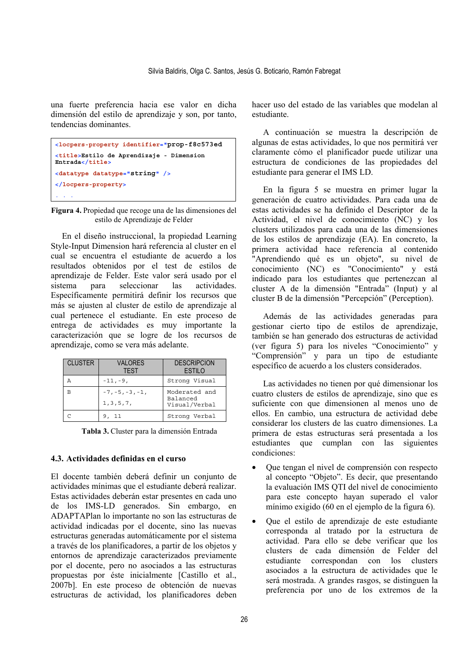una fuerte preferencia hacia ese valor en dicha dimensión del estilo de aprendizaje y son, por tanto, tendencias dominantes.

```
<locpers-property identifier="prop-f8c573ed
<title>Estilo de Aprendizaje - Dimension
Entrada</title>
<datatype datatype="string" />
</locpers-property>
```
Figura 4. Propiedad que recoge una de las dimensiones del estilo de Aprendizaje de Felder

En el diseño instruccional, la propiedad Learning Style-Input Dimension hará referencia al cluster en el cual se encuentra el estudiante de acuerdo a los resultados obtenidos por el test de estilos de aprendizaje de Felder. Este valor será usado por el sistema para seleccionar  $\log$ actividades. Específicamente permitirá definir los recursos que más se ajusten al cluster de estilo de aprendizaje al cual pertenece el estudiante. En este proceso de entrega de actividades es muy importante la caracterización que se logre de los recursos de aprendizaje, como se vera más adelante.

| <b>CLUSTER</b> | <b>VALORES</b><br><b>TFST</b>    | <b>DESCRIPCION</b><br><b>ESTILO</b>        |
|----------------|----------------------------------|--------------------------------------------|
|                | $-11, -9,$                       | Strong Visual                              |
|                | $-7, -5, -3, -1,$<br>1, 3, 5, 7, | Moderated and<br>Balanced<br>Visual/Verbal |
|                | -11                              | Strong Verbal                              |

Tabla 3. Cluster para la dimensión Entrada

## 4.3. Actividades definidas en el curso

El docente también deberá definir un conjunto de actividades mínimas que el estudiante deberá realizar. Estas actividades deberán estar presentes en cada uno de los IMS-LD generados. Sin embargo, en ADAPTAPlan lo importante no son las estructuras de actividad indicadas por el docente, sino las nuevas estructuras generadas automáticamente por el sistema a través de los planificadores, a partir de los objetos y entornos de aprendizaje caracterizados previamente por el docente, pero no asociados a las estructuras propuestas por éste inicialmente [Castillo et al., 2007bl. En este proceso de obtención de nuevas estructuras de actividad, los planificadores deben

hacer uso del estado de las variables que modelan al estudiante.

A continuación se muestra la descripción de algunas de estas actividades, lo que nos permitirá ver claramente cómo el planificador puede utilizar una estructura de condiciones de las propiedades del estudiante para generar el IMS LD.

En la figura 5 se muestra en primer lugar la generación de cuatro actividades. Para cada una de estas actividades se ha definido el Descriptor de la Actividad, el nivel de conocimiento (NC) y los clusters utilizados para cada una de las dimensiones de los estilos de aprendizaje (EA). En concreto, la primera actividad hace referencia al contenido "Aprendiendo qué es un objeto", su nivel de conocimiento (NC) es "Conocimiento" y está indicado para los estudiantes que pertenezcan al cluster A de la dimensión "Entrada" (Input) y al cluster B de la dimensión "Percepción" (Perception).

Además de las actividades generadas para gestionar cierto tipo de estilos de aprendizaje. también se han generado dos estructuras de actividad (ver figura 5) para los niveles "Conocimiento" y "Comprensión" y para un tipo de estudiante específico de acuerdo a los clusters considerados.

Las actividades no tienen por qué dimensionar los cuatro clusters de estilos de aprendizaje, sino que es suficiente con que dimensionen al menos uno de ellos. En cambio, una estructura de actividad debe considerar los clusters de las cuatro dimensiones. La primera de estas estructuras será presentada a los estudiantes que cumplan con las siguientes condiciones:

- Oue tengan el nivel de comprensión con respecto al concepto "Objeto". Es decir, que presentando la evaluación IMS OTI del nivel de conocimiento para este concepto hayan superado el valor mínimo exigido (60 en el ejemplo de la figura 6).
- Que el estilo de aprendizaje de este estudiante corresponda al tratado por la estructura de actividad. Para ello se debe verificar que los clusters de cada dimensión de Felder del estudiante correspondan con los clusters asociados a la estructura de actividades que le será mostrada. A grandes rasgos, se distinguen la preferencia por uno de los extremos de la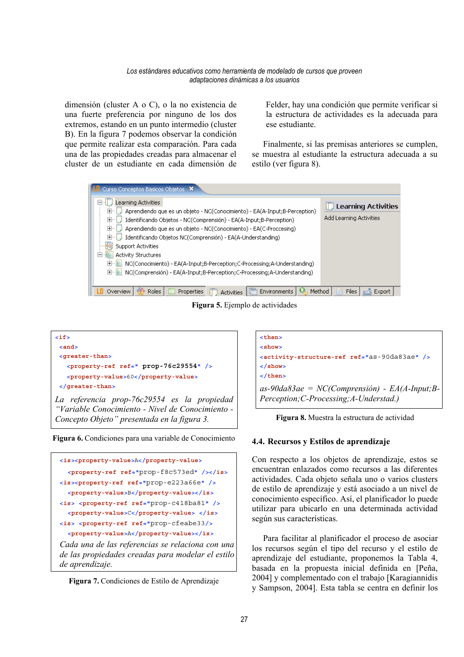dimensión (cluster  $A \circ C$ ), o la no existencia de una fuerte preferencia por ninguno de los dos extremos, estando en un punto intermedio (cluster B). En la figura 7 podemos observar la condición que permite realizar esta comparación. Para cada una de las propiedades creadas para almacenar el cluster de un estudiante en cada dimensión de Felder, hay una condición que permite verificar si la estructura de actividades es la adecuada para ese estudiante

Finalmente, si las premisas anteriores se cumplen, se muestra al estudiante la estructura adecuada a su estilo (ver figura 8).



Figura 5. Ejemplo de actividades











Figura 8. Muestra la estructura de actividad

#### 4.4. Recursos y Estilos de aprendizaje

Con respecto a los objetos de aprendizaje, estos se encuentran enlazados como recursos a las diferentes actividades. Cada objeto señala uno o varios clusters de estilo de aprendizaje y está asociado a un nivel de conocimiento específico. Así, el planificador lo puede utilizar para ubicarlo en una determinada actividad según sus características.

Para facilitar al planificador el proceso de asociar los recursos según el tipo del recurso y el estilo de aprendizaje del estudiante, proponemos la Tabla 4, basada en la propuesta inicial definida en [Peña, 2004] y complementado con el trabajo [Karagiannidis] y Sampson, 2004]. Esta tabla se centra en definir los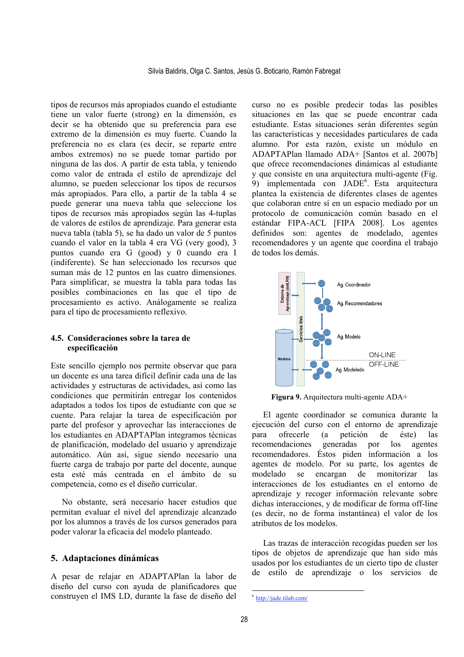tipos de recursos más apropiados cuando el estudiante tiene un valor fuerte (strong) en la dimensión, es decir se ha obtenido que su preferencia para ese extremo de la dimensión es muy fuerte. Cuando la preferencia no es clara (es decir, se reparte entre ambos extremos) no se puede tomar partido por ninguna de las dos. A partir de esta tabla, y teniendo como valor de entrada el estilo de aprendizaje del alumno, se pueden seleccionar los tipos de recursos más apropiados. Para ello, a partir de la tabla 4 se puede generar una nueva tabla que seleccione los tipos de recursos más apropiados según las 4-tuplas de valores de estilos de aprendizaje. Para generar esta nueva tabla (tabla 5), se ha dado un valor de 5 puntos cuando el valor en la tabla 4 era VG (very good), 3 puntos cuando era G (good) y 0 cuando era I (indiferente). Se han seleccionado los recursos que suman más de 12 puntos en las cuatro dimensiones. Para simplificar, se muestra la tabla para todas las posibles combinaciones en las que el tipo de procesamiento es activo. Análogamente se realiza para el tipo de procesamiento reflexivo.

#### 4.5. Consideraciones sobre la tarea de especificación

Este sencillo ejemplo nos permite observar que para un docente es una tarea difícil definir cada una de las actividades y estructuras de actividades, así como las condiciones que permitirán entregar los contenidos adaptados a todos los tipos de estudiante con que se cuente. Para relajar la tarea de especificación por parte del profesor y aprovechar las interacciones de los estudiantes en ADAPTAPlan integramos técnicas de planificación, modelado del usuario y aprendizaje automático. Aún así, sigue siendo necesario una fuerte carga de trabajo por parte del docente, aunque esta esté más centrada en el ámbito de su competencia, como es el diseño curricular.

No obstante, será necesario hacer estudios que permitan evaluar el nivel del aprendizaje alcanzado por los alumnos a través de los cursos generados para poder valorar la eficacia del modelo planteado.

## 5. Adaptaciones dinámicas

A pesar de relaiar en ADAPTAPlan la labor de diseño del curso con avuda de planificadores que construyen el IMS LD, durante la fase de diseño del curso no es posible predecir todas las posibles situaciones en las que se puede encontrar cada estudiante. Estas situaciones serán diferentes según las características y necesidades particulares de cada alumno. Por esta razón, existe un módulo en ADAPTAPlan llamado ADA+ [Santos et al. 2007b] que ofrece recomendaciones dinámicas al estudiante y que consiste en una arquitectura multi-agente (Fig. 9) implementada con JADE<sup>6</sup>. Esta arquitectura plantea la existencia de diferentes clases de agentes que colaboran entre sí en un espacio mediado por un protocolo de comunicación común basado en el estándar FIPA-ACL [FIPA 2008]. Los agentes definidos son: agentes de modelado, agentes recomendadores y un agente que coordina el trabajo de todos los demás.



Figura 9. Arquitectura multi-agente ADA+

El agente coordinador se comunica durante la ejecución del curso con el entorno de aprendizaje petición ofrecerle de éste)  $\iota$ para  $(a)$ recomendaciones generadas por  $\log$ agentes recomendadores. Éstos piden información a los agentes de modelo. Por su parte, los agentes de modelado se encargan  $de$ monitorizar las interacciones de los estudiantes en el entorno de aprendizaje y recoger información relevante sobre dichas interacciones, y de modificar de forma off-line (es decir, no de forma instantánea) el valor de los atributos de los modelos

Las trazas de interacción recogidas pueden ser los tipos de objetos de aprendizaje que han sido más usados por los estudiantes de un cierto tipo de cluster de estilo de aprendizaje o los servicios de

 $6$  http://jade.tilab.com/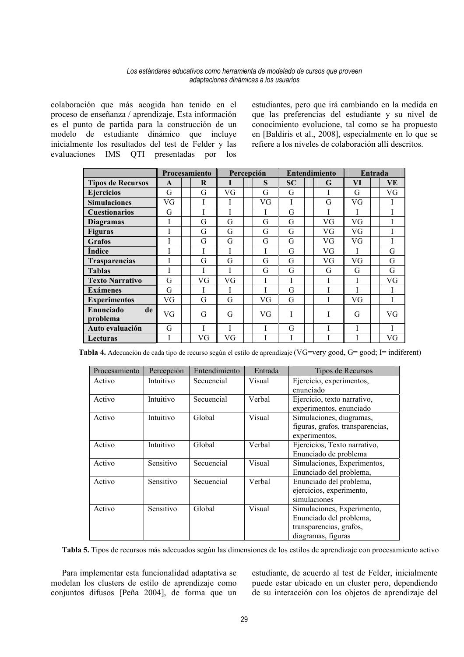colaboración que más acogida han tenido en el proceso de enseñanza / aprendizaje. Esta información es el punto de partida para la construcción de un modelo de estudiante dinámico que incluve inicialmente los resultados del test de Felder y las evaluaciones IMS QTI presentadas por los

estudiantes, pero que irá cambiando en la medida en que las preferencias del estudiante y su nivel de conocimiento evolucione, tal como se ha propuesto en [Baldiris et al., 2008], especialmente en lo que se refiere a los niveles de colaboración allí descritos.

|                             |              | Procesamiento | Percepción |  | <b>Entendimiento</b> |           |  | Entrada |           |  |             |
|-----------------------------|--------------|---------------|------------|--|----------------------|-----------|--|---------|-----------|--|-------------|
| <b>Tipos de Recursos</b>    | $\mathbf{A}$ | R             | T          |  | S                    | <b>SC</b> |  | G       | VI        |  | VE          |
| <b>Ejercicios</b>           | G            | G             | VG         |  | G                    | G         |  |         | G         |  | VG          |
| <b>Simulaciones</b>         | VG           | I             | I          |  | VG                   | I         |  | G       | VG        |  | I           |
| <b>Cuestionarios</b>        | G            |               |            |  | I                    | G         |  |         |           |  | I           |
| <b>Diagramas</b>            | -1           | G             | G          |  | G                    | G         |  | VG      | VG        |  | T           |
| <b>Figuras</b>              | 1.           | G             | G          |  | G                    | G         |  | VG      | VG        |  | T           |
| <b>Grafos</b>               | I            | G             | G          |  | G                    | G         |  | VG      | VG        |  | $\mathbf I$ |
| Índice                      | I            | I             | I          |  | I                    | G         |  | VG      | I         |  | G           |
| Trasparencias               | Ī            | G             | G          |  | G                    | G         |  | VG      | <b>VG</b> |  | G           |
| <b>Tablas</b>               | Ī            | I             | I          |  | G                    | G         |  | G       | G         |  | G           |
| <b>Texto Narrativo</b>      | G            | VG            | VG         |  | I                    | I         |  |         | T         |  | VG          |
| <b>Exámenes</b>             | G            |               | I          |  | I                    | G         |  |         | I         |  | I           |
| <b>Experimentos</b>         | VG           | G             | G          |  | VG                   | G         |  |         | <b>VG</b> |  | T           |
| Enunciado<br>de<br>problema | VG           | G             | G          |  | VG                   | I         |  |         | G         |  | VG          |
| Auto evaluación             | G            |               | I          |  | I                    | G         |  |         |           |  | T           |
| Lecturas                    | I            | VG            | VG         |  | I                    | I         |  |         | I         |  | VG          |

Tabla 4. Adecuación de cada tipo de recurso según el estilo de aprendizaje (VG=very good, G= good; I= indiferent)

| Procesamiento | Percepción | Entendimiento | Entrada | Tipos de Recursos                                                                                      |
|---------------|------------|---------------|---------|--------------------------------------------------------------------------------------------------------|
| Activo        | Intuitivo  | Secuencial    | Visual  | Ejercicio, experimentos,<br>enunciado                                                                  |
| Activo        | Intuitivo  | Secuencial    | Verbal  | Ejercicio, texto narrativo,<br>experimentos, enunciado                                                 |
| Activo        | Intuitivo  | Global        | Visual  | Simulaciones, diagramas,<br>figuras, grafos, transparencias,<br>experimentos,                          |
| Activo        | Intuitivo  | Global        | Verbal  | Ejercicios, Texto narrativo,<br>Enunciado de problema                                                  |
| Activo        | Sensitivo  | Secuencial    | Visual  | Simulaciones, Experimentos,<br>Enunciado del problema,                                                 |
| Activo        | Sensitivo  | Secuencial    | Verbal  | Enunciado del problema,<br>ejercicios, experimento,<br>simulaciones                                    |
| Activo        | Sensitivo  | Global        | Visual  | Simulaciones, Experimento,<br>Enunciado del problema,<br>transparencias, grafos,<br>diagramas, figuras |

Tabla 5. Tipos de recursos más adecuados según las dimensiones de los estilos de aprendizaje con procesamiento activo

Para implementar esta funcionalidad adaptativa se modelan los clusters de estilo de aprendizaje como conjuntos difusos [Peña 2004], de forma que un

estudiante, de acuerdo al test de Felder, inicialmente puede estar ubicado en un cluster pero, dependiendo de su interacción con los objetos de aprendizaje del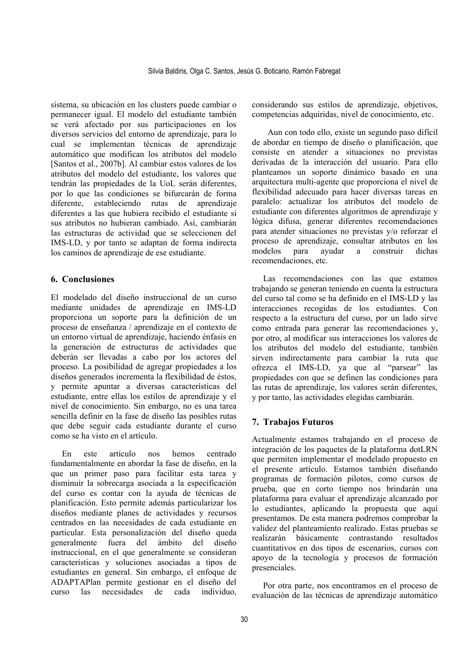sistema, su ubicación en los clusters puede cambiar o permanecer igual. El modelo del estudiante también se verá afectado por sus participaciones en los diversos servicios del entorno de aprendizaje, para lo cual se implementan técnicas de aprendizaje automático que modifican los atributos del modelo [Santos et al., 2007b]. Al cambiar estos valores de los atributos del modelo del estudiante, los valores que tendrán las propiedades de la UoL serán diferentes, por lo que las condiciones se bifurcarán de forma diferente, estableciendo rutas de aprendizaie diferentes a las que hubiera recibido el estudiante si sus atributos no hubieran cambiado. Así, cambiarán las estructuras de actividad que se seleccionen del IMS-LD, y por tanto se adaptan de forma indirecta los caminos de aprendizaje de ese estudiante.

# **6. Conclusiones**

El modelado del diseño instruccional de un curso mediante unidades de aprendizaie en IMS-LD proporciona un soporte para la definición de un proceso de enseñanza / aprendizaje en el contexto de un entorno virtual de aprendizaje, haciendo énfasis en la generación de estructuras de actividades que deberán ser llevadas a cabo por los actores del proceso. La posibilidad de agregar propiedades a los diseños generados incrementa la flexibilidad de éstos. y permite apuntar a diversas características del estudiante, entre ellas los estilos de aprendizaje y el nivel de conocimiento. Sin embargo, no es una tarea sencilla definir en la fase de diseño las posibles rutas que debe seguir cada estudiante durante el curso como se ha visto en el artículo.

artículo hemos centrado  $Fn$  $ext{e}$  $n \alpha$ fundamentalmente en abordar la fase de diseño, en la que un primer paso para facilitar esta tarea y disminuir la sobrecarga asociada a la especificación del curso es contar con la avuda de técnicas de planificación. Esto permite además particularizar los diseños mediante planes de actividades y recursos centrados en las necesidades de cada estudiante en particular. Esta personalización del diseño queda generalmente fuera del ámbito del diseño instruccional, en el que generalmente se consideran características y soluciones asociadas a tipos de estudiantes en general. Sin embargo, el enfoque de ADAPTAPlan permite gestionar en el diseño del curso las necesidades de cada individuo

considerando sus estilos de aprendizaje, objetivos, competencias adquiridas, nivel de conocimiento, etc.

Aun con todo ello, existe un segundo paso difícil de abordar en tiempo de diseño o planificación, que consiste en atender a situaciones no previstas derivadas de la interacción del usuario. Para ello planteamos un soporte dinámico basado en una arquitectura multi-agente que proporciona el nivel de flexibilidad adecuado para hacer diversas tareas en paralelo: actualizar los atributos del modelo de estudiante con diferentes algoritmos de aprendizaje y lógica difusa, generar diferentes recomendaciones para atender situaciones no previstas y/o reforzar el proceso de aprendizaje, consultar atributos en los modelos ayudar a construir dichas para recomendaciones, etc.

Las recomendaciones con las que estamos trabajando se generan teniendo en cuenta la estructura del curso tal como se ha definido en el IMS-LD y las interacciones recogidas de los estudiantes. Con respecto a la estructura del curso, por un lado sirve como entrada para generar las recomendaciones y, por otro, al modificar sus interacciones los valores de los atributos del modelo del estudiante, también sirven indirectamente para cambiar la ruta que ofrezca el IMS-LD, ya que al "parsear" las propiedades con que se definen las condiciones para las rutas de aprendizaje, los valores serán diferentes, y por tanto, las actividades elegidas cambiarán.

# 7. Trabajos Futuros

Actualmente estamos trabajando en el proceso de integración de los paquetes de la plataforma dotLRN que permiten implementar el modelado propuesto en el presente artículo. Estamos también diseñando programas de formación pilotos, como cursos de prueba, que en corto tiempo nos brindarán una plataforma para evaluar el aprendizaje alcanzado por lo estudiantes, aplicando la propuesta que aquí presentamos. De esta manera podremos comprobar la validez del planteamiento realizado. Estas pruebas se realizarán básicamente contrastando resultados cuantitativos en dos tipos de escenarios, cursos con apoyo de la tecnología y procesos de formación presenciales.

Por otra parte, nos encontramos en el proceso de evaluación de las técnicas de aprendizaje automático